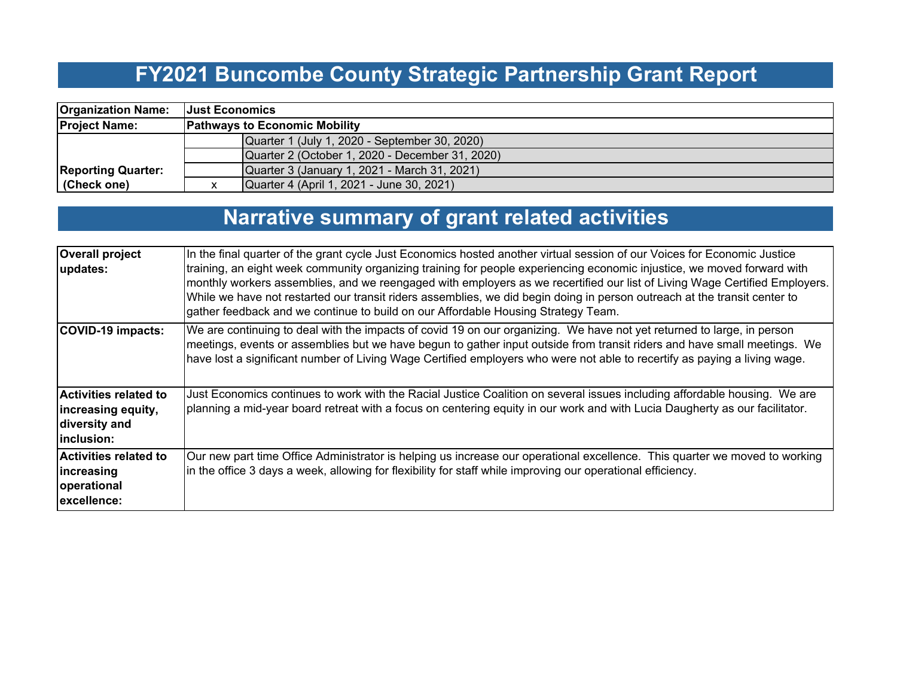# **FY2021 Buncombe County Strategic Partnership Grant Report**

| <b>Organization Name:</b> | <b>Just Economics</b>                |                                                 |  |  |  |
|---------------------------|--------------------------------------|-------------------------------------------------|--|--|--|
| <b>Project Name:</b>      | <b>Pathways to Economic Mobility</b> |                                                 |  |  |  |
|                           |                                      | Quarter 1 (July 1, 2020 - September 30, 2020)   |  |  |  |
|                           |                                      | Quarter 2 (October 1, 2020 - December 31, 2020) |  |  |  |
| <b>Reporting Quarter:</b> |                                      | Quarter 3 (January 1, 2021 - March 31, 2021)    |  |  |  |
| (Check one)               |                                      | Quarter 4 (April 1, 2021 - June 30, 2021)       |  |  |  |

# **Narrative summary of grant related activities**

| <b>Overall project</b><br>updates:                                         | In the final quarter of the grant cycle Just Economics hosted another virtual session of our Voices for Economic Justice<br>training, an eight week community organizing training for people experiencing economic injustice, we moved forward with<br>monthly workers assemblies, and we reengaged with employers as we recertified our list of Living Wage Certified Employers.<br>While we have not restarted our transit riders assemblies, we did begin doing in person outreach at the transit center to<br>gather feedback and we continue to build on our Affordable Housing Strategy Team. |
|----------------------------------------------------------------------------|-----------------------------------------------------------------------------------------------------------------------------------------------------------------------------------------------------------------------------------------------------------------------------------------------------------------------------------------------------------------------------------------------------------------------------------------------------------------------------------------------------------------------------------------------------------------------------------------------------|
| COVID-19 impacts:                                                          | We are continuing to deal with the impacts of covid 19 on our organizing. We have not yet returned to large, in person<br>meetings, events or assemblies but we have begun to gather input outside from transit riders and have small meetings. We<br>have lost a significant number of Living Wage Certified employers who were not able to recertify as paying a living wage.                                                                                                                                                                                                                     |
| Activities related to<br>increasing equity,<br>diversity and<br>inclusion: | Just Economics continues to work with the Racial Justice Coalition on several issues including affordable housing. We are<br>planning a mid-year board retreat with a focus on centering equity in our work and with Lucia Daugherty as our facilitator.                                                                                                                                                                                                                                                                                                                                            |
| Activities related to<br>lincreasing<br>operational<br>excellence:         | Our new part time Office Administrator is helping us increase our operational excellence. This quarter we moved to working<br>in the office 3 days a week, allowing for flexibility for staff while improving our operational efficiency.                                                                                                                                                                                                                                                                                                                                                           |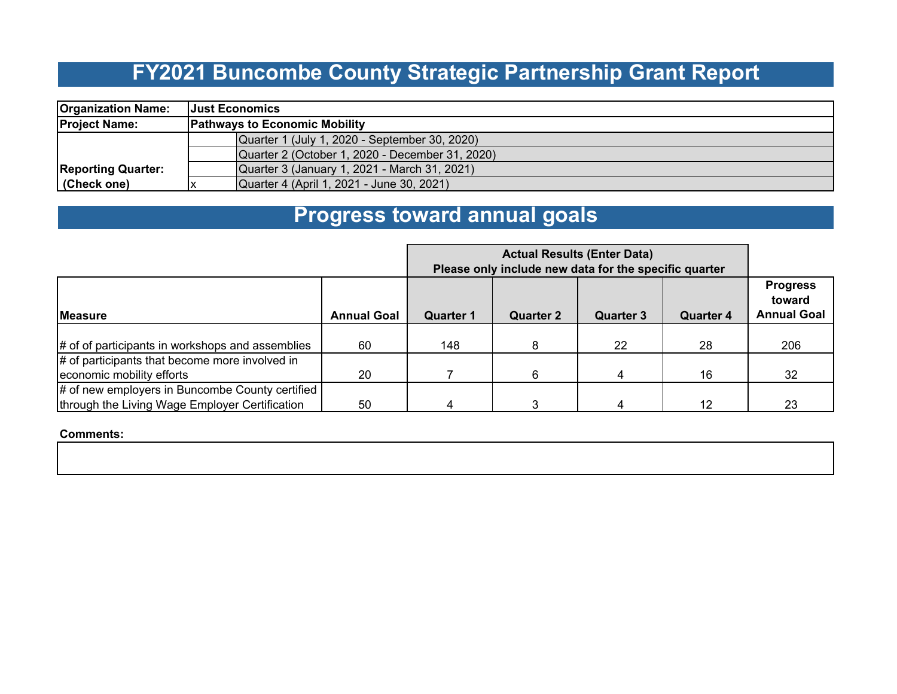## **FY2021 Buncombe County Strategic Partnership Grant Report**

| <b>Organization Name:</b> | <b>Just Economics</b>                           |  |  |  |  |
|---------------------------|-------------------------------------------------|--|--|--|--|
| <b>Project Name:</b>      | <b>Pathways to Economic Mobility</b>            |  |  |  |  |
|                           | Quarter 1 (July 1, 2020 - September 30, 2020)   |  |  |  |  |
|                           | Quarter 2 (October 1, 2020 - December 31, 2020) |  |  |  |  |
| <b>Reporting Quarter:</b> | Quarter 3 (January 1, 2021 - March 31, 2021)    |  |  |  |  |
| (Check one)               | Quarter 4 (April 1, 2021 - June 30, 2021)       |  |  |  |  |

#### **Progress toward annual goals**

|                                                                                                   | Please only include new data for the specific quarter |                  |                  |           |                  |                                                 |
|---------------------------------------------------------------------------------------------------|-------------------------------------------------------|------------------|------------------|-----------|------------------|-------------------------------------------------|
| <b>Measure</b>                                                                                    | <b>Annual Goal</b>                                    | <b>Quarter 1</b> | <b>Quarter 2</b> | Quarter 3 | <b>Quarter 4</b> | <b>Progress</b><br>toward<br><b>Annual Goal</b> |
| # of of participants in workshops and assemblies                                                  | 60                                                    | 148              | 8                | 22        | 28               | 206                                             |
| # of participants that become more involved in<br>economic mobility efforts                       | 20                                                    |                  | 6                | 4         | 16               | 32                                              |
| # of new employers in Buncombe County certified<br>through the Living Wage Employer Certification | 50                                                    |                  |                  | 4         | 12               | 23                                              |

**Comments:**